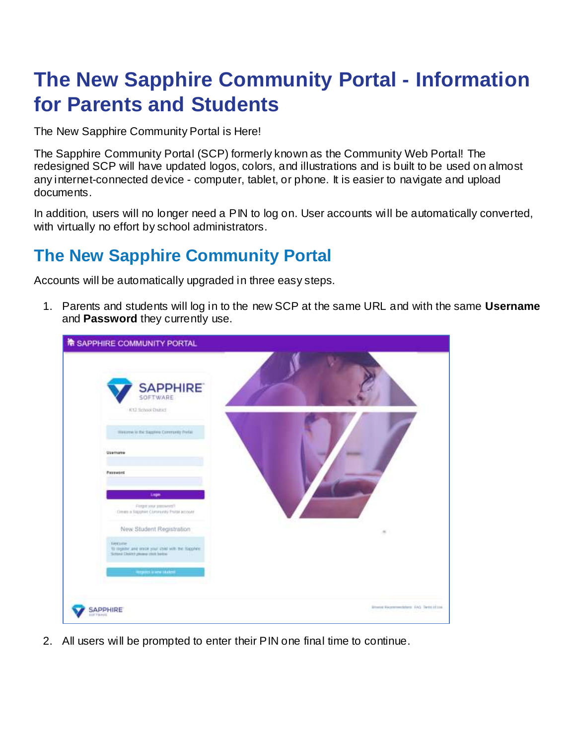# **The New Sapphire Community Portal - Information for Parents and Students**

The New Sapphire Community Portal is Here!

The Sapphire Community Portal (SCP) formerly known as the Community Web Portal! The redesigned SCP will have updated logos, colors, and illustrations and is built to be used on almost any internet-connected device - computer, tablet, or phone. It is easier to navigate and upload documents.

In addition, users will no longer need a PIN to log on. User accounts will be automatically converted, with virtually no effort by school administrators.

# **The New Sapphire Community Portal**

Accounts will be automatically upgraded in three easy steps.

1. Parents and students will log in to the new SCP at the same URL and with the same **Username** and **Password** they currently use.

| SAPPHIRE COMMUNITY PORTAL                                                                                                                                                                                                                                                                                                                                                                          |                                                        |
|----------------------------------------------------------------------------------------------------------------------------------------------------------------------------------------------------------------------------------------------------------------------------------------------------------------------------------------------------------------------------------------------------|--------------------------------------------------------|
| <b>SAPPHIRE</b><br>SOFTWARE<br>K12 School Druted<br>Western to the Realists Commanly Prefac-<br><b>FOR THE</b><br>Username<br>Password<br><b>Loger</b><br>Forget your pressures the<br>Dream a Rapphire Comments Prime account<br>New Student Registration<br>Welcame<br>10 register and smok your child with the Suppliers<br>School Diskitt present that he too.<br><b>Registria and statest</b> | $\equiv$                                               |
| SAPPHIRE<br><b>UFTWARE</b>                                                                                                                                                                                                                                                                                                                                                                         | <b>Bitweek Ricommodators' FAG Term Id Ltd.</b><br>---- |

2. All users will be prompted to enter their PIN one final time to continue.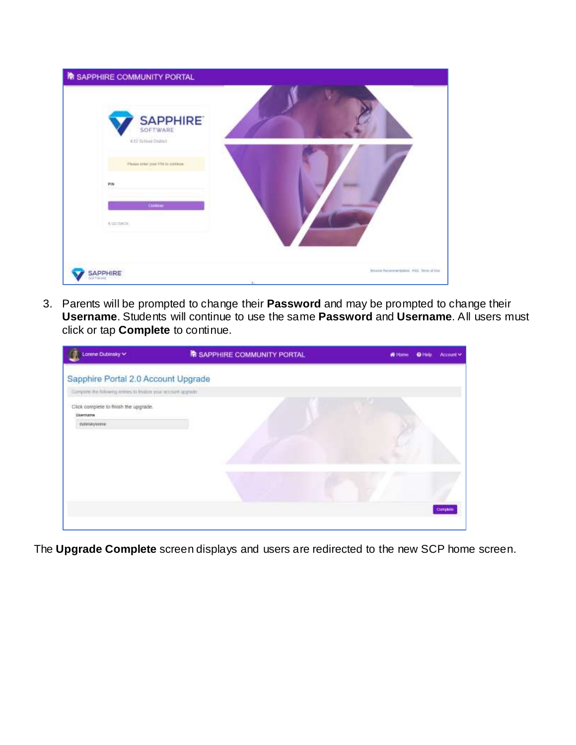| <b>THE SAPPHIRE COMMUNITY PORTAL</b>                                                                         |                                       |
|--------------------------------------------------------------------------------------------------------------|---------------------------------------|
| <b>SAPPHIRE</b><br>K12 School Delniz<br>Please sinks your PW to control.<br>PW<br>CHRIST<br><b>COD DADIC</b> |                                       |
| SAPPHIRE                                                                                                     | boyer however spinst. AND Term of the |

3. Parents will be prompted to change their **Password** and may be prompted to change their **Username**. Students will continue to use the same **Password** and **Username**. All users must click or tap **Complete** to continue.

| Lorene Dubinsky V                                                          | <b>No SAPPHIRE COMMUNITY PORTAL</b> | * Hume<br>Account v |
|----------------------------------------------------------------------------|-------------------------------------|---------------------|
| Sapphire Portal 2.0 Account Upgrade                                        |                                     |                     |
| Complete the following entres to trialize your account appraist.           |                                     |                     |
| Click complete to finish the upgrade.<br><b>Lisemane</b><br>zubinikyicrene |                                     |                     |
|                                                                            |                                     | Corrent             |

The **Upgrade Complete** screen displays and users are redirected to the new SCP home screen.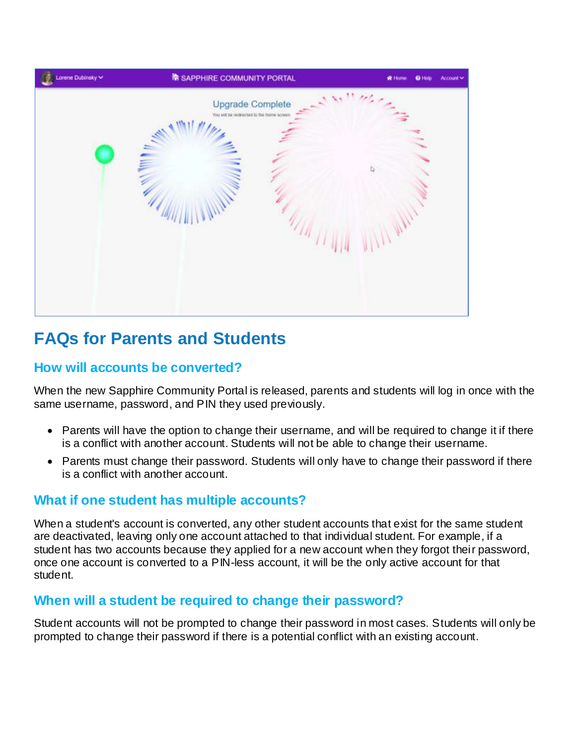

# **FAQs for Parents and Students**

### **How will accounts be converted?**

When the new Sapphire Community Portal is released, parents and students will log in once with the same username, password, and PIN they used previously.

- Parents will have the option to change their username, and will be required to change it if there is a conflict with another account. Students will not be able to change their username.
- Parents must change their password. Students will only have to change their password if there is a conflict with another account.

## **What if one student has multiple accounts?**

When a student's account is converted, any other student accounts that exist for the same student are deactivated, leaving only one account attached to that individual student. For example, if a student has two accounts because they applied for a new account when they forgot their password, once one account is converted to a PIN-less account, it will be the only active account for that student.

## **When will a student be required to change their password?**

Student accounts will not be prompted to change their password in most cases. Students will only be prompted to change their password if there is a potential conflict with an existing account.